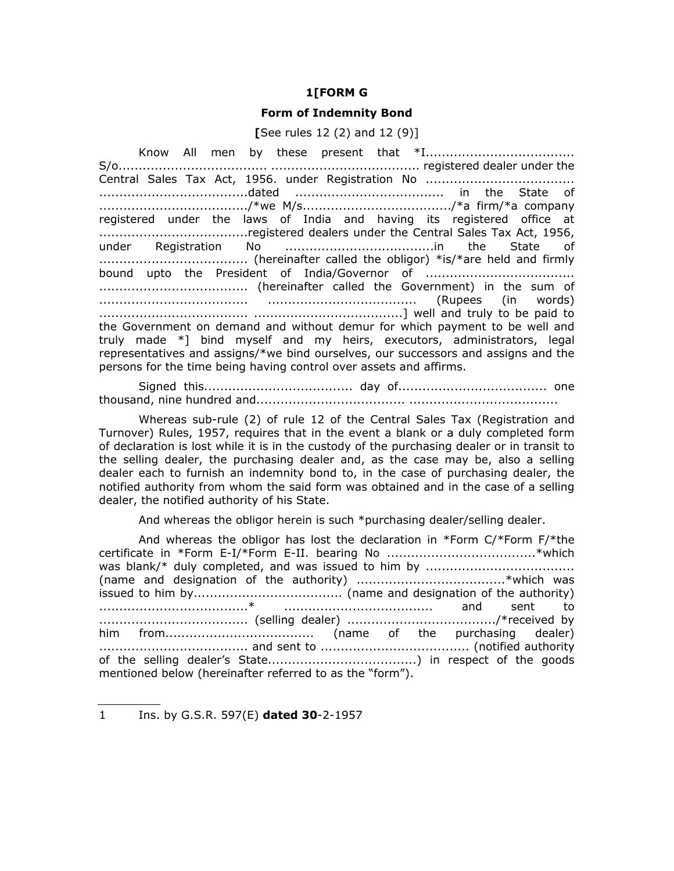## **1[FORM G**

## **Form of Indemnity Bond**

**[**See rules 12 (2) and 12 (9)]

Know All men by these present that \*I..................................... S/o..................................... ..................................... registered dealer under the Central Sales Tax Act, 1956. under Registration No ..................................... .....................................dated ..................................... in the State of ...................................../\*we M/s...................................../\*a firm/\*a company registered under the laws of India and having its registered office at .....................................registered dealers under the Central Sales Tax Act, 1956, under Registration No .....................................in the State of ..................................... (hereinafter called the obligor) \*is/\*are held and firmly bound upto the President of India/Governor of ..................................... ..................................... (hereinafter called the Government) in the sum of ..................................... ..................................... (Rupees (in words) ..................................... .....................................] well and truly to be paid to the Government on demand and without demur for which payment to be well and truly made \*] bind myself and my heirs, executors, administrators, legal representatives and assigns/\*we bind ourselves, our successors and assigns and the persons for the time being having control over assets and affirms.

Signed this..................................... day of..................................... one thousand, nine hundred and..................................... .....................................

Whereas sub-rule (2) of rule 12 of the Central Sales Tax (Registration and Turnover) Rules, 1957, requires that in the event a blank or a duly completed form of declaration is lost while it is in the custody of the purchasing dealer or in transit to the selling dealer, the purchasing dealer and, as the case may be, also a selling dealer each to furnish an indemnity bond to, in the case of purchasing dealer, the notified authority from whom the said form was obtained and in the case of a selling dealer, the notified authority of his State.

And whereas the obligor herein is such \*purchasing dealer/selling dealer.

And whereas the obligor has lost the declaration in \*Form C/\*Form F/\*the certificate in \*Form E-I/\*Form E-II. bearing No .....................................\*which was blank/\* duly completed, and was issued to him by ..................................... (name and designation of the authority) .....................................\*which was issued to him by..................................... (name and designation of the authority) .....................................\* ..................................... and sent to ..................................... (selling dealer) ...................................../\*received by him from..................................... (name of the purchasing dealer) ..................................... and sent to ..................................... (notified authority of the selling dealer's State.....................................) in respect of the goods mentioned below (hereinafter referred to as the "form").

<sup>1</sup> Ins. by G.S.R. 597(E) **dated 30**-2-1957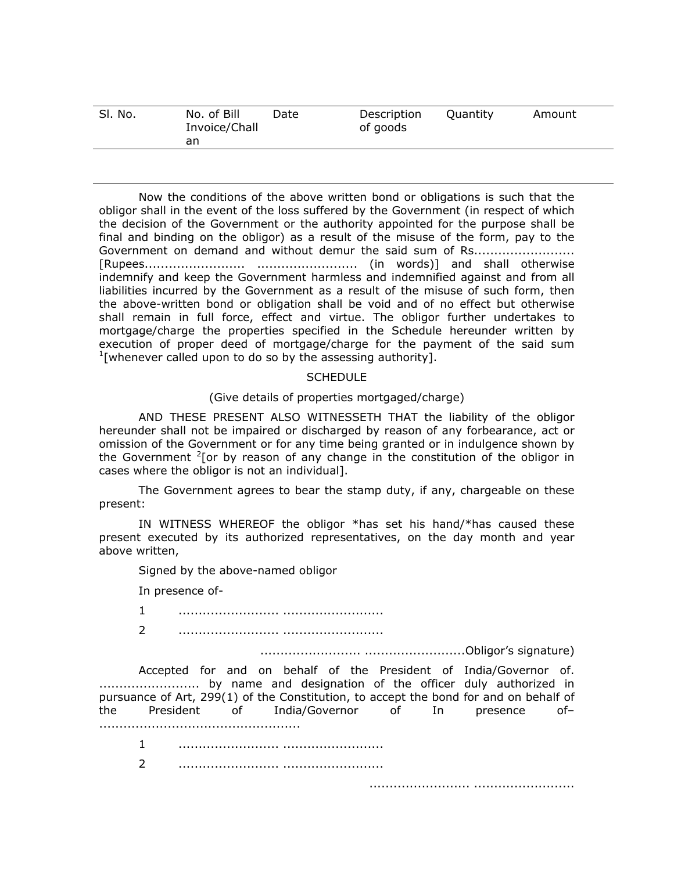| Sl. No. | No. of Bill<br>Invoice/Chall | Date | Description<br>of goods | Ouantity | Amount |
|---------|------------------------------|------|-------------------------|----------|--------|
|         | an                           |      |                         |          |        |

Now the conditions of the above written bond or obligations is such that the obligor shall in the event of the loss suffered by the Government (in respect of which the decision of the Government or the authority appointed for the purpose shall be final and binding on the obligor) as a result of the misuse of the form, pay to the Government on demand and without demur the said sum of Rs....................... [Rupees......................... ......................... (in words)] and shall otherwise indemnify and keep the Government harmless and indemnified against and from all liabilities incurred by the Government as a result of the misuse of such form, then the above-written bond or obligation shall be void and of no effect but otherwise shall remain in full force, effect and virtue. The obligor further undertakes to mortgage/charge the properties specified in the Schedule hereunder written by execution of proper deed of mortgage/charge for the payment of the said sum  $1$ [whenever called upon to do so by the assessing authority].

## **SCHEDULE**

## (Give details of properties mortgaged/charge)

AND THESE PRESENT ALSO WITNESSETH THAT the liability of the obligor hereunder shall not be impaired or discharged by reason of any forbearance, act or omission of the Government or for any time being granted or in indulgence shown by the Government  $2$ [or by reason of any change in the constitution of the obligor in cases where the obligor is not an individual].

The Government agrees to bear the stamp duty, if any, chargeable on these present:

IN WITNESS WHEREOF the obligor \*has set his hand/\*has caused these present executed by its authorized representatives, on the day month and year above written,

Signed by the above-named obligor

In presence of-

..................................................

1 ......................... .........................

2 ......................... .........................

......................... .........................Obligor's signature)

Accepted for and on behalf of the President of India/Governor of. ......................... by name and designation of the officer duly authorized in pursuance of Art, 299(1) of the Constitution, to accept the bond for and on behalf of the President of India/Governor of In presence of–

1 ......................... ......................... 2 ......................... .........................

......................... .........................